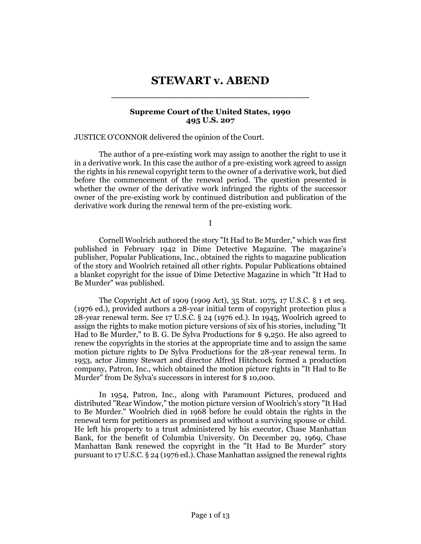# **STEWART v. ABEND** \_\_\_\_\_\_\_\_\_\_\_\_\_\_\_\_\_\_\_\_\_\_\_\_\_\_\_\_

## **Supreme Court of the United States, 1990 495 U.S. 207**

### JUSTICE O'CONNOR delivered the opinion of the Court.

The author of a pre-existing work may assign to another the right to use it in a derivative work. In this case the author of a pre-existing work agreed to assign the rights in his renewal copyright term to the owner of a derivative work, but died before the commencement of the renewal period. The question presented is whether the owner of the derivative work infringed the rights of the successor owner of the pre-existing work by continued distribution and publication of the derivative work during the renewal term of the pre-existing work.

I

Cornell Woolrich authored the story "It Had to Be Murder," which was first published in February 1942 in Dime Detective Magazine. The magazine's publisher, Popular Publications, Inc., obtained the rights to magazine publication of the story and Woolrich retained all other rights. Popular Publications obtained a blanket copyright for the issue of Dime Detective Magazine in which "It Had to Be Murder" was published.

The Copyright Act of 1909 (1909 Act), 35 Stat. 1075, 17 U.S.C. § 1 et seq. (1976 ed.), provided authors a 28-year initial term of copyright protection plus a 28-year renewal term. See 17 U.S.C. § 24 (1976 ed.). In 1945, Woolrich agreed to assign the rights to make motion picture versions of six of his stories, including "It Had to Be Murder," to B. G. De Sylva Productions for \$ 9,250. He also agreed to renew the copyrights in the stories at the appropriate time and to assign the same motion picture rights to De Sylva Productions for the 28-year renewal term. In 1953, actor Jimmy Stewart and director Alfred Hitchcock formed a production company, Patron, Inc., which obtained the motion picture rights in "It Had to Be Murder" from De Sylva's successors in interest for \$ 10,000.

In 1954, Patron, Inc., along with Paramount Pictures, produced and distributed "Rear Window," the motion picture version of Woolrich's story "It Had to Be Murder." Woolrich died in 1968 before he could obtain the rights in the renewal term for petitioners as promised and without a surviving spouse or child. He left his property to a trust administered by his executor, Chase Manhattan Bank, for the benefit of Columbia University. On December 29, 1969, Chase Manhattan Bank renewed the copyright in the "It Had to Be Murder" story pursuant to 17 U.S.C. § 24 (1976 ed.). Chase Manhattan assigned the renewal rights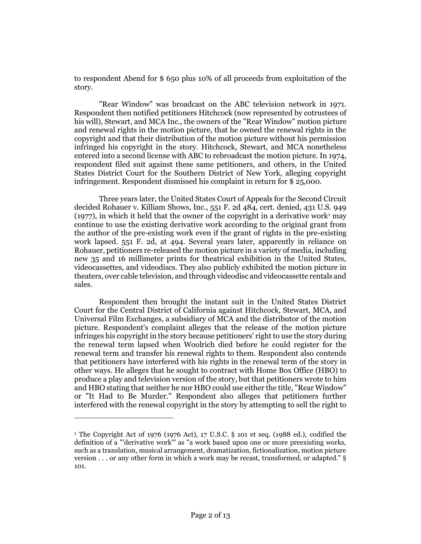to respondent Abend for \$ 650 plus 10% of all proceeds from exploitation of the story.

"Rear Window" was broadcast on the ABC television network in 1971. Respondent then notified petitioners Hitchcock (now represented by cotrustees of his will), Stewart, and MCA Inc., the owners of the "Rear Window" motion picture and renewal rights in the motion picture, that he owned the renewal rights in the copyright and that their distribution of the motion picture without his permission infringed his copyright in the story. Hitchcock, Stewart, and MCA nonetheless entered into a second license with ABC to rebroadcast the motion picture. In 1974, respondent filed suit against these same petitioners, and others, in the United States District Court for the Southern District of New York, alleging copyright infringement. Respondent dismissed his complaint in return for \$ 25,000.

Three years later, the United States Court of Appeals for the Second Circuit decided Rohauer v. Killiam Shows, Inc., 551 F. 2d 484, cert. denied, 431 U.S. 949  $(1977)$ , in which it held that the owner of the copyright in a derivative work<sup>1</sup> may continue to use the existing derivative work according to the original grant from the author of the pre-existing work even if the grant of rights in the pre-existing work lapsed. 551 F. 2d, at 494. Several years later, apparently in reliance on Rohauer, petitioners re-released the motion picture in a variety of media, including new 35 and 16 millimeter prints for theatrical exhibition in the United States, videocassettes, and videodiscs. They also publicly exhibited the motion picture in theaters, over cable television, and through videodisc and videocassette rentals and sales.

Respondent then brought the instant suit in the United States District Court for the Central District of California against Hitchcock, Stewart, MCA, and Universal Film Exchanges, a subsidiary of MCA and the distributor of the motion picture. Respondent's complaint alleges that the release of the motion picture infringes his copyright in the story because petitioners' right to use the story during the renewal term lapsed when Woolrich died before he could register for the renewal term and transfer his renewal rights to them. Respondent also contends that petitioners have interfered with his rights in the renewal term of the story in other ways. He alleges that he sought to contract with Home Box Office (HBO) to produce a play and television version of the story, but that petitioners wrote to him and HBO stating that neither he nor HBO could use either the title, "Rear Window" or "It Had to Be Murder." Respondent also alleges that petitioners further interfered with the renewal copyright in the story by attempting to sell the right to

 $\overline{a}$ 

<sup>1</sup> The Copyright Act of 1976 (1976 Act), 17 U.S.C. § 101 et seq. (1988 ed.), codified the definition of a "'derivative work'" as "a work based upon one or more preexisting works, such as a translation, musical arrangement, dramatization, fictionalization, motion picture version . . . or any other form in which a work may be recast, transformed, or adapted." § 101.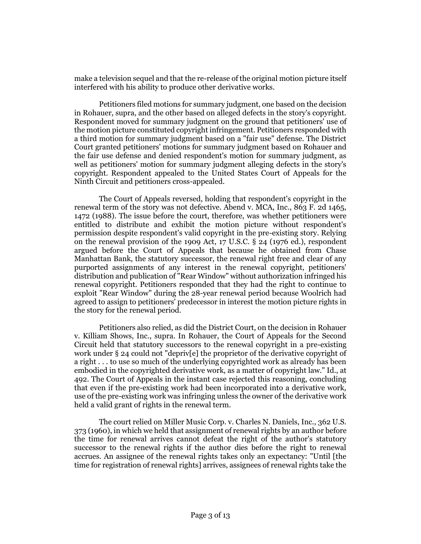make a television sequel and that the re-release of the original motion picture itself interfered with his ability to produce other derivative works.

Petitioners filed motions for summary judgment, one based on the decision in Rohauer, supra, and the other based on alleged defects in the story's copyright. Respondent moved for summary judgment on the ground that petitioners' use of the motion picture constituted copyright infringement. Petitioners responded with a third motion for summary judgment based on a "fair use" defense. The District Court granted petitioners' motions for summary judgment based on Rohauer and the fair use defense and denied respondent's motion for summary judgment, as well as petitioners' motion for summary judgment alleging defects in the story's copyright. Respondent appealed to the United States Court of Appeals for the Ninth Circuit and petitioners cross-appealed.

The Court of Appeals reversed, holding that respondent's copyright in the renewal term of the story was not defective. Abend v. MCA, Inc., 863 F. 2d 1465, 1472 (1988). The issue before the court, therefore, was whether petitioners were entitled to distribute and exhibit the motion picture without respondent's permission despite respondent's valid copyright in the pre-existing story. Relying on the renewal provision of the 1909 Act, 17 U.S.C. § 24 (1976 ed.), respondent argued before the Court of Appeals that because he obtained from Chase Manhattan Bank, the statutory successor, the renewal right free and clear of any purported assignments of any interest in the renewal copyright, petitioners' distribution and publication of "Rear Window" without authorization infringed his renewal copyright. Petitioners responded that they had the right to continue to exploit "Rear Window" during the 28-year renewal period because Woolrich had agreed to assign to petitioners' predecessor in interest the motion picture rights in the story for the renewal period.

Petitioners also relied, as did the District Court, on the decision in Rohauer v. Killiam Shows, Inc., supra. In Rohauer, the Court of Appeals for the Second Circuit held that statutory successors to the renewal copyright in a pre-existing work under § 24 could not "depriv[e] the proprietor of the derivative copyright of a right . . . to use so much of the underlying copyrighted work as already has been embodied in the copyrighted derivative work, as a matter of copyright law." Id., at 492. The Court of Appeals in the instant case rejected this reasoning, concluding that even if the pre-existing work had been incorporated into a derivative work, use of the pre-existing work was infringing unless the owner of the derivative work held a valid grant of rights in the renewal term.

The court relied on Miller Music Corp. v. Charles N. Daniels, Inc., 362 U.S. 373 (1960), in which we held that assignment of renewal rights by an author before the time for renewal arrives cannot defeat the right of the author's statutory successor to the renewal rights if the author dies before the right to renewal accrues. An assignee of the renewal rights takes only an expectancy: "Until [the time for registration of renewal rights] arrives, assignees of renewal rights take the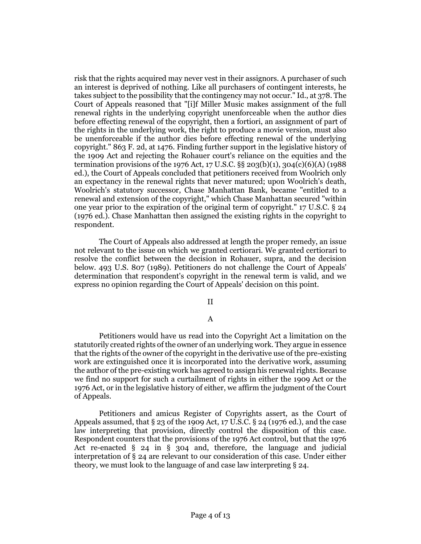risk that the rights acquired may never vest in their assignors. A purchaser of such an interest is deprived of nothing. Like all purchasers of contingent interests, he takes subject to the possibility that the contingency may not occur." Id., at 378. The Court of Appeals reasoned that "[i]f Miller Music makes assignment of the full renewal rights in the underlying copyright unenforceable when the author dies before effecting renewal of the copyright, then a fortiori, an assignment of part of the rights in the underlying work, the right to produce a movie version, must also be unenforceable if the author dies before effecting renewal of the underlying copyright." 863 F. 2d, at 1476. Finding further support in the legislative history of the 1909 Act and rejecting the Rohauer court's reliance on the equities and the termination provisions of the 1976 Act, 17 U.S.C. §§ 203(b)(1), 304(c)(6)(A) (1988 ed.), the Court of Appeals concluded that petitioners received from Woolrich only an expectancy in the renewal rights that never matured; upon Woolrich's death, Woolrich's statutory successor, Chase Manhattan Bank, became "entitled to a renewal and extension of the copyright," which Chase Manhattan secured "within one year prior to the expiration of the original term of copyright." 17 U.S.C. § 24 (1976 ed.). Chase Manhattan then assigned the existing rights in the copyright to respondent.

The Court of Appeals also addressed at length the proper remedy, an issue not relevant to the issue on which we granted certiorari. We granted certiorari to resolve the conflict between the decision in Rohauer, supra, and the decision below. 493 U.S. 807 (1989). Petitioners do not challenge the Court of Appeals' determination that respondent's copyright in the renewal term is valid, and we express no opinion regarding the Court of Appeals' decision on this point.

II

# A

Petitioners would have us read into the Copyright Act a limitation on the statutorily created rights of the owner of an underlying work. They argue in essence that the rights of the owner of the copyright in the derivative use of the pre-existing work are extinguished once it is incorporated into the derivative work, assuming the author of the pre-existing work has agreed to assign his renewal rights. Because we find no support for such a curtailment of rights in either the 1909 Act or the 1976 Act, or in the legislative history of either, we affirm the judgment of the Court of Appeals.

Petitioners and amicus Register of Copyrights assert, as the Court of Appeals assumed, that  $\S 23$  of the 1909 Act, 17 U.S.C.  $\S 24$  (1976 ed.), and the case law interpreting that provision, directly control the disposition of this case. Respondent counters that the provisions of the 1976 Act control, but that the 1976 Act re-enacted § 24 in § 304 and, therefore, the language and judicial interpretation of § 24 are relevant to our consideration of this case. Under either theory, we must look to the language of and case law interpreting § 24.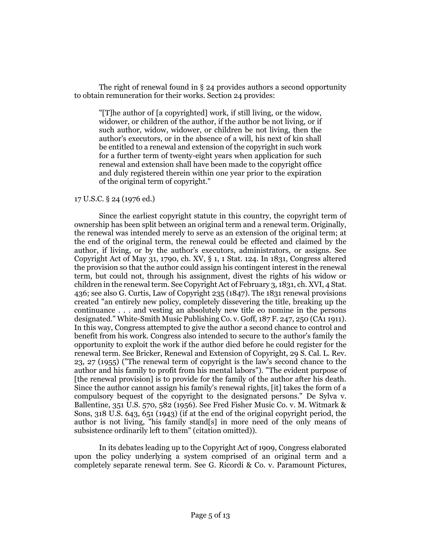The right of renewal found in § 24 provides authors a second opportunity to obtain remuneration for their works. Section 24 provides:

"[T]he author of [a copyrighted] work, if still living, or the widow, widower, or children of the author, if the author be not living, or if such author, widow, widower, or children be not living, then the author's executors, or in the absence of a will, his next of kin shall be entitled to a renewal and extension of the copyright in such work for a further term of twenty-eight years when application for such renewal and extension shall have been made to the copyright office and duly registered therein within one year prior to the expiration of the original term of copyright."

# 17 U.S.C. § 24 (1976 ed.)

Since the earliest copyright statute in this country, the copyright term of ownership has been split between an original term and a renewal term. Originally, the renewal was intended merely to serve as an extension of the original term; at the end of the original term, the renewal could be effected and claimed by the author, if living, or by the author's executors, administrators, or assigns. See Copyright Act of May 31, 1790, ch. XV, § 1, 1 Stat. 124. In 1831, Congress altered the provision so that the author could assign his contingent interest in the renewal term, but could not, through his assignment, divest the rights of his widow or children in the renewal term. See Copyright Act of February 3, 1831, ch. XVI, 4 Stat. 436; see also G. Curtis, Law of Copyright 235 (1847). The 1831 renewal provisions created "an entirely new policy, completely dissevering the title, breaking up the continuance . . . and vesting an absolutely new title eo nomine in the persons designated." White-Smith Music Publishing Co. v. Goff, 187 F. 247, 250 (CA1 1911). In this way, Congress attempted to give the author a second chance to control and benefit from his work. Congress also intended to secure to the author's family the opportunity to exploit the work if the author died before he could register for the renewal term. See Bricker, Renewal and Extension of Copyright, 29 S. Cal. L. Rev. 23, 27 (1955) ("The renewal term of copyright is the law's second chance to the author and his family to profit from his mental labors"). "The evident purpose of [the renewal provision] is to provide for the family of the author after his death. Since the author cannot assign his family's renewal rights, [it] takes the form of a compulsory bequest of the copyright to the designated persons." De Sylva v. Ballentine, 351 U.S. 570, 582 (1956). See Fred Fisher Music Co. v. M. Witmark & Sons, 318 U.S. 643, 651 (1943) (if at the end of the original copyright period, the author is not living, "his family stand[s] in more need of the only means of subsistence ordinarily left to them" (citation omitted)).

In its debates leading up to the Copyright Act of 1909, Congress elaborated upon the policy underlying a system comprised of an original term and a completely separate renewal term. See G. Ricordi & Co. v. Paramount Pictures,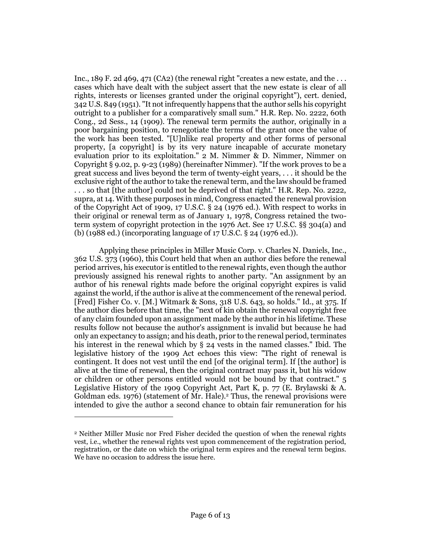Inc., 189 F. 2d 469, 471 (CA2) (the renewal right "creates a new estate, and the  $\dots$ cases which have dealt with the subject assert that the new estate is clear of all rights, interests or licenses granted under the original copyright"), cert. denied, 342 U.S. 849 (1951). "It not infrequently happens that the author sells his copyright outright to a publisher for a comparatively small sum." H.R. Rep. No. 2222, 60th Cong., 2d Sess., 14 (1909). The renewal term permits the author, originally in a poor bargaining position, to renegotiate the terms of the grant once the value of the work has been tested. "[U]nlike real property and other forms of personal property, [a copyright] is by its very nature incapable of accurate monetary evaluation prior to its exploitation." 2 M. Nimmer & D. Nimmer, Nimmer on Copyright § 9.02, p. 9-23 (1989) (hereinafter Nimmer). "If the work proves to be a great success and lives beyond the term of twenty-eight years, . . . it should be the exclusive right of the author to take the renewal term, and the law should be framed . . . so that [the author] could not be deprived of that right." H.R. Rep. No. 2222, supra, at 14. With these purposes in mind, Congress enacted the renewal provision of the Copyright Act of 1909, 17 U.S.C. § 24 (1976 ed.). With respect to works in their original or renewal term as of January 1, 1978, Congress retained the twoterm system of copyright protection in the 1976 Act. See 17 U.S.C. §§ 304(a) and (b) (1988 ed.) (incorporating language of 17 U.S.C. § 24 (1976 ed.)).

Applying these principles in Miller Music Corp. v. Charles N. Daniels, Inc., 362 U.S. 373 (1960), this Court held that when an author dies before the renewal period arrives, his executor is entitled to the renewal rights, even though the author previously assigned his renewal rights to another party. "An assignment by an author of his renewal rights made before the original copyright expires is valid against the world, if the author is alive at the commencement of the renewal period. [Fred] Fisher Co. v. [M.] Witmark & Sons, 318 U.S. 643, so holds." Id., at 375. If the author dies before that time, the "next of kin obtain the renewal copyright free of any claim founded upon an assignment made by the author in his lifetime. These results follow not because the author's assignment is invalid but because he had only an expectancy to assign; and his death, prior to the renewal period, terminates his interest in the renewal which by § 24 vests in the named classes." Ibid. The legislative history of the 1909 Act echoes this view: "The right of renewal is contingent. It does not vest until the end [of the original term]. If [the author] is alive at the time of renewal, then the original contract may pass it, but his widow or children or other persons entitled would not be bound by that contract." 5 Legislative History of the 1909 Copyright Act, Part K, p. 77 (E. Brylawski & A. Goldman eds. 1976) (statement of Mr. Hale).<sup>2</sup> Thus, the renewal provisions were intended to give the author a second chance to obtain fair remuneration for his

 $\overline{a}$ 

<sup>2</sup> Neither Miller Music nor Fred Fisher decided the question of when the renewal rights vest, i.e., whether the renewal rights vest upon commencement of the registration period, registration, or the date on which the original term expires and the renewal term begins. We have no occasion to address the issue here.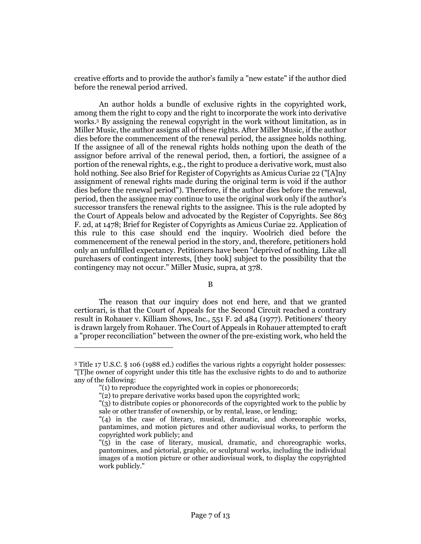creative efforts and to provide the author's family a "new estate" if the author died before the renewal period arrived.

An author holds a bundle of exclusive rights in the copyrighted work, among them the right to copy and the right to incorporate the work into derivative works.<sup>3</sup> By assigning the renewal copyright in the work without limitation, as in Miller Music, the author assigns all of these rights. After Miller Music, if the author dies before the commencement of the renewal period, the assignee holds nothing. If the assignee of all of the renewal rights holds nothing upon the death of the assignor before arrival of the renewal period, then, a fortiori, the assignee of a portion of the renewal rights, e.g., the right to produce a derivative work, must also hold nothing. See also Brief for Register of Copyrights as Amicus Curiae 22 ("[A]ny assignment of renewal rights made during the original term is void if the author dies before the renewal period"). Therefore, if the author dies before the renewal, period, then the assignee may continue to use the original work only if the author's successor transfers the renewal rights to the assignee. This is the rule adopted by the Court of Appeals below and advocated by the Register of Copyrights. See 863 F. 2d, at 1478; Brief for Register of Copyrights as Amicus Curiae 22. Application of this rule to this case should end the inquiry. Woolrich died before the commencement of the renewal period in the story, and, therefore, petitioners hold only an unfulfilled expectancy. Petitioners have been "deprived of nothing. Like all purchasers of contingent interests, [they took] subject to the possibility that the contingency may not occur." Miller Music, supra, at 378.

### B

The reason that our inquiry does not end here, and that we granted certiorari, is that the Court of Appeals for the Second Circuit reached a contrary result in Rohauer v. Killiam Shows, Inc., 551 F. 2d 484 (1977). Petitioners' theory is drawn largely from Rohauer. The Court of Appeals in Rohauer attempted to craft a "proper reconciliation" between the owner of the pre-existing work, who held the

 $\overline{a}$ 

<sup>3</sup> Title 17 U.S.C. § 106 (1988 ed.) codifies the various rights a copyright holder possesses: "[T]he owner of copyright under this title has the exclusive rights to do and to authorize any of the following:

<sup>&</sup>quot;(1) to reproduce the copyrighted work in copies or phonorecords;

<sup>&</sup>quot;(2) to prepare derivative works based upon the copyrighted work;

<sup>&</sup>quot;(3) to distribute copies or phonorecords of the copyrighted work to the public by sale or other transfer of ownership, or by rental, lease, or lending;

<sup>&</sup>quot;(4) in the case of literary, musical, dramatic, and choreoraphic works, pantamimes, and motion pictures and other audiovisual works, to perform the copyrighted work publicly; and

 $\Gamma(5)$  in the case of literary, musical, dramatic, and choreographic works, pantomimes, and pictorial, graphic, or sculptural works, including the individual images of a motion picture or other audiovisual work, to display the copyrighted work publicly."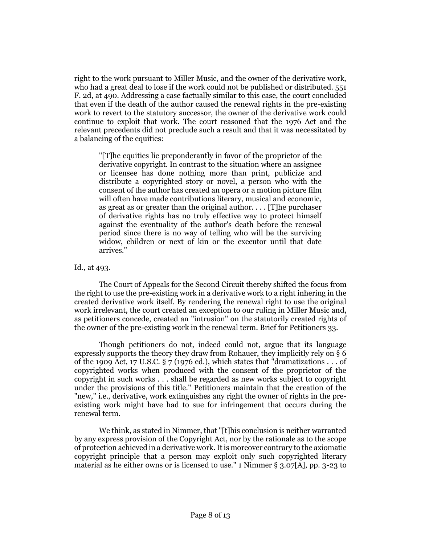right to the work pursuant to Miller Music, and the owner of the derivative work, who had a great deal to lose if the work could not be published or distributed. 551 F. 2d, at 490. Addressing a case factually similar to this case, the court concluded that even if the death of the author caused the renewal rights in the pre-existing work to revert to the statutory successor, the owner of the derivative work could continue to exploit that work. The court reasoned that the 1976 Act and the relevant precedents did not preclude such a result and that it was necessitated by a balancing of the equities:

"[T]he equities lie preponderantly in favor of the proprietor of the derivative copyright. In contrast to the situation where an assignee or licensee has done nothing more than print, publicize and distribute a copyrighted story or novel, a person who with the consent of the author has created an opera or a motion picture film will often have made contributions literary, musical and economic, as great as or greater than the original author. . . . [T]he purchaser of derivative rights has no truly effective way to protect himself against the eventuality of the author's death before the renewal period since there is no way of telling who will be the surviving widow, children or next of kin or the executor until that date arrives."

# Id., at 493.

The Court of Appeals for the Second Circuit thereby shifted the focus from the right to use the pre-existing work in a derivative work to a right inhering in the created derivative work itself. By rendering the renewal right to use the original work irrelevant, the court created an exception to our ruling in Miller Music and, as petitioners concede, created an "intrusion" on the statutorily created rights of the owner of the pre-existing work in the renewal term. Brief for Petitioners 33.

Though petitioners do not, indeed could not, argue that its language expressly supports the theory they draw from Rohauer, they implicitly rely on § 6 of the 1909 Act, 17 U.S.C. § 7 (1976 ed.), which states that "dramatizations  $\dots$  of copyrighted works when produced with the consent of the proprietor of the copyright in such works . . . shall be regarded as new works subject to copyright under the provisions of this title." Petitioners maintain that the creation of the "new," i.e., derivative, work extinguishes any right the owner of rights in the preexisting work might have had to sue for infringement that occurs during the renewal term.

We think, as stated in Nimmer, that "[t]his conclusion is neither warranted by any express provision of the Copyright Act, nor by the rationale as to the scope of protection achieved in a derivative work. It is moreover contrary to the axiomatic copyright principle that a person may exploit only such copyrighted literary material as he either owns or is licensed to use." 1 Nimmer § 3.07[A], pp. 3-23 to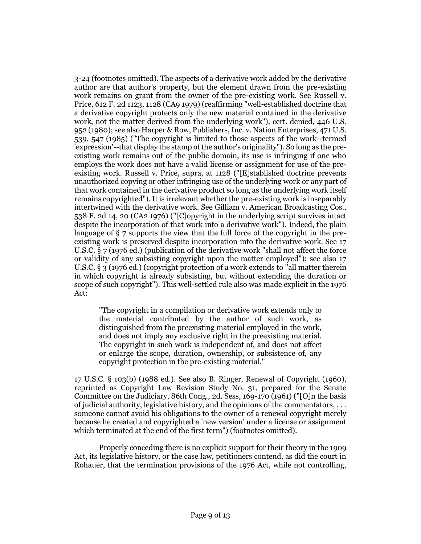3-24 (footnotes omitted). The aspects of a derivative work added by the derivative author are that author's property, but the element drawn from the pre-existing work remains on grant from the owner of the pre-existing work. See Russell v. Price, 612 F. 2d 1123, 1128 (CA9 1979) (reaffirming "well-established doctrine that a derivative copyright protects only the new material contained in the derivative work, not the matter derived from the underlying work"), cert. denied, 446 U.S. 952 (1980); see also Harper & Row, Publishers, Inc. v. Nation Enterprises, 471 U.S. 539, 547 (1985) ("The copyright is limited to those aspects of the work--termed 'expression'--that display the stamp of the author's originality"). So long as the preexisting work remains out of the public domain, its use is infringing if one who employs the work does not have a valid license or assignment for use of the preexisting work. Russell v. Price, supra, at 1128 ("[E]stablished doctrine prevents unauthorized copying or other infringing use of the underlying work or any part of that work contained in the derivative product so long as the underlying work itself remains copyrighted"). It is irrelevant whether the pre-existing work is inseparably intertwined with the derivative work. See Gilliam v. American Broadcasting Cos., 538 F. 2d 14, 20 (CA2 1976) ("[C]opyright in the underlying script survives intact despite the incorporation of that work into a derivative work"). Indeed, the plain language of § 7 supports the view that the full force of the copyright in the preexisting work is preserved despite incorporation into the derivative work. See 17 U.S.C. § 7 (1976 ed.) (publication of the derivative work "shall not affect the force or validity of any subsisting copyright upon the matter employed"); see also 17 U.S.C. § 3 (1976 ed.) (copyright protection of a work extends to "all matter therein in which copyright is already subsisting, but without extending the duration or scope of such copyright"). This well-settled rule also was made explicit in the 1976 Act:

"The copyright in a compilation or derivative work extends only to the material contributed by the author of such work, as distinguished from the preexisting material employed in the work, and does not imply any exclusive right in the preexisting material. The copyright in such work is independent of, and does not affect or enlarge the scope, duration, ownership, or subsistence of, any copyright protection in the pre-existing material."

17 U.S.C. § 103(b) (1988 ed.). See also B. Ringer, Renewal of Copyright (1960), reprinted as Copyright Law Revision Study No. 31, prepared for the Senate Committee on the Judiciary, 86th Cong., 2d. Sess, 169-170 (1961) ("[O]n the basis of judicial authority, legislative history, and the opinions of the commentators, . . . someone cannot avoid his obligations to the owner of a renewal copyright merely because he created and copyrighted a 'new version' under a license or assignment which terminated at the end of the first term") (footnotes omitted).

Properly conceding there is no explicit support for their theory in the 1909 Act, its legislative history, or the case law, petitioners contend, as did the court in Rohauer, that the termination provisions of the 1976 Act, while not controlling,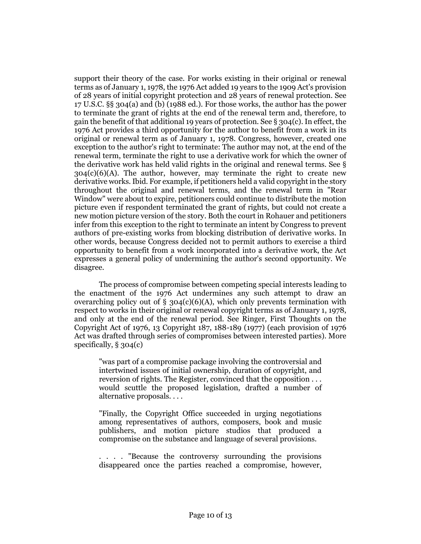support their theory of the case. For works existing in their original or renewal terms as of January 1, 1978, the 1976 Act added 19 years to the 1909 Act's provision of 28 years of initial copyright protection and 28 years of renewal protection. See 17 U.S.C. §§ 304(a) and (b) (1988 ed.). For those works, the author has the power to terminate the grant of rights at the end of the renewal term and, therefore, to gain the benefit of that additional 19 years of protection. See § 304(c). In effect, the 1976 Act provides a third opportunity for the author to benefit from a work in its original or renewal term as of January 1, 1978. Congress, however, created one exception to the author's right to terminate: The author may not, at the end of the renewal term, terminate the right to use a derivative work for which the owner of the derivative work has held valid rights in the original and renewal terms. See §  $304(c)(6)(A)$ . The author, however, may terminate the right to create new derivative works. Ibid. For example, if petitioners held a valid copyright in the story throughout the original and renewal terms, and the renewal term in "Rear Window" were about to expire, petitioners could continue to distribute the motion picture even if respondent terminated the grant of rights, but could not create a new motion picture version of the story. Both the court in Rohauer and petitioners infer from this exception to the right to terminate an intent by Congress to prevent authors of pre-existing works from blocking distribution of derivative works. In other words, because Congress decided not to permit authors to exercise a third opportunity to benefit from a work incorporated into a derivative work, the Act expresses a general policy of undermining the author's second opportunity. We disagree.

The process of compromise between competing special interests leading to the enactment of the 1976 Act undermines any such attempt to draw an overarching policy out of  $\S$  304(c)(6)(A), which only prevents termination with respect to works in their original or renewal copyright terms as of January 1, 1978, and only at the end of the renewal period. See Ringer, First Thoughts on the Copyright Act of 1976, 13 Copyright 187, 188-189 (1977) (each provision of 1976 Act was drafted through series of compromises between interested parties). More specifically, § 304(c)

"was part of a compromise package involving the controversial and intertwined issues of initial ownership, duration of copyright, and reversion of rights. The Register, convinced that the opposition . . . would scuttle the proposed legislation, drafted a number of alternative proposals. . . .

"Finally, the Copyright Office succeeded in urging negotiations among representatives of authors, composers, book and music publishers, and motion picture studios that produced a compromise on the substance and language of several provisions.

. . . . "Because the controversy surrounding the provisions disappeared once the parties reached a compromise, however,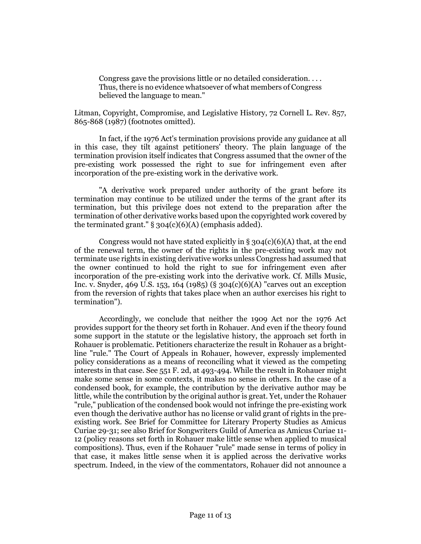Congress gave the provisions little or no detailed consideration. . . . Thus, there is no evidence whatsoever of what members of Congress believed the language to mean."

Litman, Copyright, Compromise, and Legislative History, 72 Cornell L. Rev. 857, 865-868 (1987) (footnotes omitted).

In fact, if the 1976 Act's termination provisions provide any guidance at all in this case, they tilt against petitioners' theory. The plain language of the termination provision itself indicates that Congress assumed that the owner of the pre-existing work possessed the right to sue for infringement even after incorporation of the pre-existing work in the derivative work.

"A derivative work prepared under authority of the grant before its termination may continue to be utilized under the terms of the grant after its termination, but this privilege does not extend to the preparation after the termination of other derivative works based upon the copyrighted work covered by the terminated grant."  $\S 304(c)(6)(A)$  (emphasis added).

Congress would not have stated explicitly in  $\S 304(c)(6)(A)$  that, at the end of the renewal term, the owner of the rights in the pre-existing work may not terminate use rights in existing derivative works unless Congress had assumed that the owner continued to hold the right to sue for infringement even after incorporation of the pre-existing work into the derivative work. Cf. Mills Music, Inc. v. Snyder, 469 U.S. 153, 164 (1985) (§ 304(c)(6)(A) "carves out an exception from the reversion of rights that takes place when an author exercises his right to termination").

Accordingly, we conclude that neither the 1909 Act nor the 1976 Act provides support for the theory set forth in Rohauer. And even if the theory found some support in the statute or the legislative history, the approach set forth in Rohauer is problematic. Petitioners characterize the result in Rohauer as a brightline "rule." The Court of Appeals in Rohauer, however, expressly implemented policy considerations as a means of reconciling what it viewed as the competing interests in that case. See 551 F. 2d, at 493-494. While the result in Rohauer might make some sense in some contexts, it makes no sense in others. In the case of a condensed book, for example, the contribution by the derivative author may be little, while the contribution by the original author is great. Yet, under the Rohauer "rule," publication of the condensed book would not infringe the pre-existing work even though the derivative author has no license or valid grant of rights in the preexisting work. See Brief for Committee for Literary Property Studies as Amicus Curiae 29-31; see also Brief for Songwriters Guild of America as Amicus Curiae 11- 12 (policy reasons set forth in Rohauer make little sense when applied to musical compositions). Thus, even if the Rohauer "rule" made sense in terms of policy in that case, it makes little sense when it is applied across the derivative works spectrum. Indeed, in the view of the commentators, Rohauer did not announce a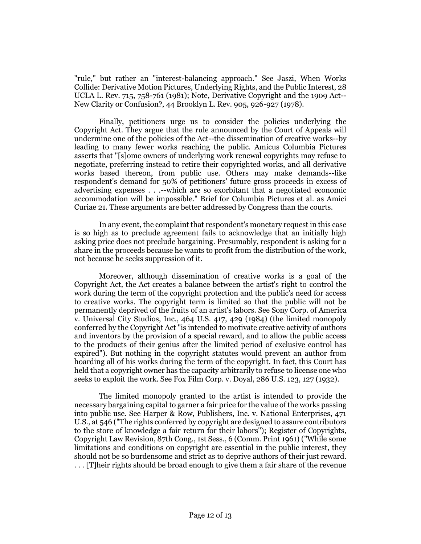"rule," but rather an "interest-balancing approach." See Jaszi, When Works Collide: Derivative Motion Pictures, Underlying Rights, and the Public Interest, 28 UCLA L. Rev. 715, 758-761 (1981); Note, Derivative Copyright and the 1909 Act-- New Clarity or Confusion?, 44 Brooklyn L. Rev. 905, 926-927 (1978).

Finally, petitioners urge us to consider the policies underlying the Copyright Act. They argue that the rule announced by the Court of Appeals will undermine one of the policies of the Act--the dissemination of creative works--by leading to many fewer works reaching the public. Amicus Columbia Pictures asserts that "[s]ome owners of underlying work renewal copyrights may refuse to negotiate, preferring instead to retire their copyrighted works, and all derivative works based thereon, from public use. Others may make demands--like respondent's demand for 50% of petitioners' future gross proceeds in excess of advertising expenses . . .--which are so exorbitant that a negotiated economic accommodation will be impossible." Brief for Columbia Pictures et al. as Amici Curiae 21. These arguments are better addressed by Congress than the courts.

In any event, the complaint that respondent's monetary request in this case is so high as to preclude agreement fails to acknowledge that an initially high asking price does not preclude bargaining. Presumably, respondent is asking for a share in the proceeds because he wants to profit from the distribution of the work, not because he seeks suppression of it.

Moreover, although dissemination of creative works is a goal of the Copyright Act, the Act creates a balance between the artist's right to control the work during the term of the copyright protection and the public's need for access to creative works. The copyright term is limited so that the public will not be permanently deprived of the fruits of an artist's labors. See Sony Corp. of America v. Universal City Studios, Inc., 464 U.S. 417, 429 (1984) (the limited monopoly conferred by the Copyright Act "is intended to motivate creative activity of authors and inventors by the provision of a special reward, and to allow the public access to the products of their genius after the limited period of exclusive control has expired"). But nothing in the copyright statutes would prevent an author from hoarding all of his works during the term of the copyright. In fact, this Court has held that a copyright owner has the capacity arbitrarily to refuse to license one who seeks to exploit the work. See Fox Film Corp. v. Doyal, 286 U.S. 123, 127 (1932).

The limited monopoly granted to the artist is intended to provide the necessary bargaining capital to garner a fair price for the value of the works passing into public use. See Harper & Row, Publishers, Inc. v. National Enterprises, 471 U.S., at 546 ("The rights conferred by copyright are designed to assure contributors to the store of knowledge a fair return for their labors"); Register of Copyrights, Copyright Law Revision, 87th Cong., 1st Sess., 6 (Comm. Print 1961) ("While some limitations and conditions on copyright are essential in the public interest, they should not be so burdensome and strict as to deprive authors of their just reward. . . . [T]heir rights should be broad enough to give them a fair share of the revenue